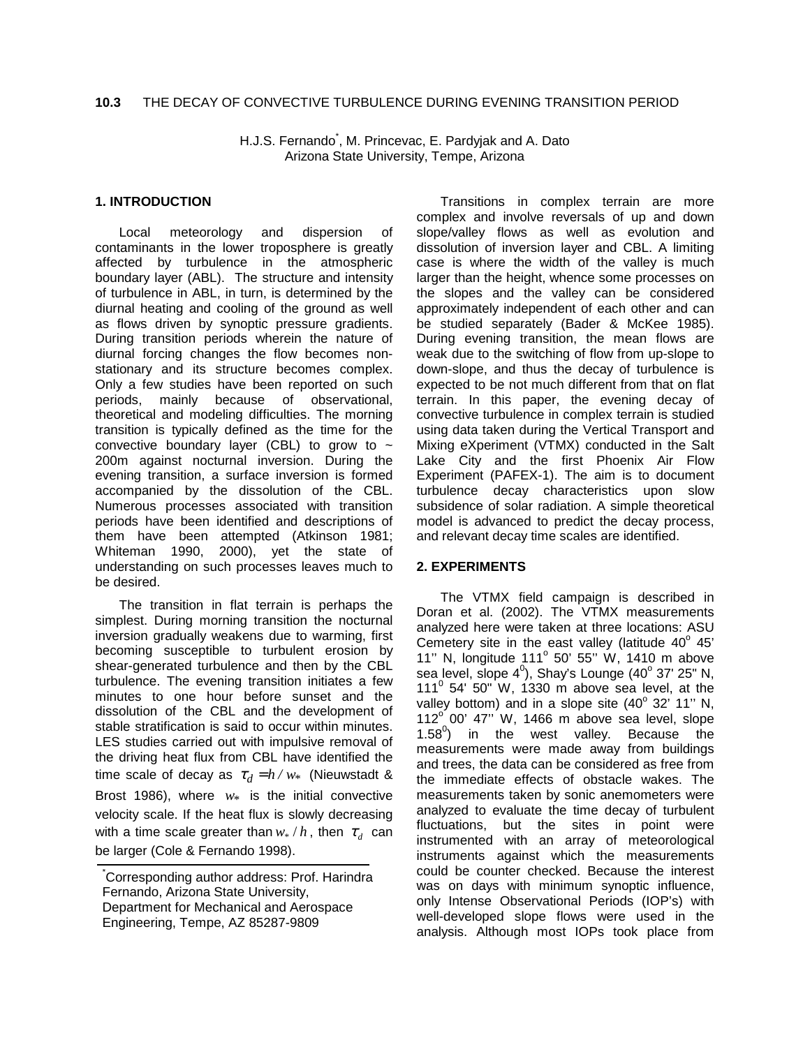# **10.3** THE DECAY OF CONVECTIVE TURBULENCE DURING EVENING TRANSITION PERIOD

H.J.S. Fernando\* , M. Princevac, E. Pardyjak and A. Dato Arizona State University, Tempe, Arizona

## **1. INTRODUCTION**

Local meteorology and dispersion of contaminants in the lower troposphere is greatly affected by turbulence in the atmospheric boundary layer (ABL). The structure and intensity of turbulence in ABL, in turn, is determined by the diurnal heating and cooling of the ground as well as flows driven by synoptic pressure gradients. During transition periods wherein the nature of diurnal forcing changes the flow becomes nonstationary and its structure becomes complex. Only a few studies have been reported on such periods, mainly because of observational, theoretical and modeling difficulties. The morning transition is typically defined as the time for the convective boundary layer (CBL) to grow to  $\sim$ 200m against nocturnal inversion. During the evening transition, a surface inversion is formed accompanied by the dissolution of the CBL. Numerous processes associated with transition periods have been identified and descriptions of them have been attempted (Atkinson 1981; Whiteman 1990, 2000), yet the state of understanding on such processes leaves much to be desired.

The transition in flat terrain is perhaps the simplest. During morning transition the nocturnal inversion gradually weakens due to warming, first becoming susceptible to turbulent erosion by shear-generated turbulence and then by the CBL turbulence. The evening transition initiates a few minutes to one hour before sunset and the dissolution of the CBL and the development of stable stratification is said to occur within minutes. LES studies carried out with impulsive removal of the driving heat flux from CBL have identified the time scale of decay as  $\tau_d = h / w_*$  (Nieuwstadt & Brost 1986), where  $w_*$  is the initial convective velocity scale. If the heat flux is slowly decreasing with a time scale greater than  $w_*/h$ , then  $\tau_d$  can be larger (Cole & Fernando 1998).

Transitions in complex terrain are more complex and involve reversals of up and down slope/valley flows as well as evolution and dissolution of inversion layer and CBL. A limiting case is where the width of the valley is much larger than the height, whence some processes on the slopes and the valley can be considered approximately independent of each other and can be studied separately (Bader & McKee 1985). During evening transition, the mean flows are weak due to the switching of flow from up-slope to down-slope, and thus the decay of turbulence is expected to be not much different from that on flat terrain. In this paper, the evening decay of convective turbulence in complex terrain is studied using data taken during the Vertical Transport and Mixing eXperiment (VTMX) conducted in the Salt Lake City and the first Phoenix Air Flow Experiment (PAFEX-1). The aim is to document turbulence decay characteristics upon slow subsidence of solar radiation. A simple theoretical model is advanced to predict the decay process, and relevant decay time scales are identified.

# **2. EXPERIMENTS**

The VTMX field campaign is described in Doran et al. (2002). The VTMX measurements analyzed here were taken at three locations: ASU Cemetery site in the east valley (latitude  $40^{\circ}$  45' 11" N, longitude  $111^{\circ}$  50' 55" W, 1410 m above sea level, slope  $4^0$ ), Shay's Lounge ( $40^{\circ}$  37' 25" N,  $111<sup>0</sup>$  54' 50" W, 1330 m above sea level, at the valley bottom) and in a slope site  $(40^{\circ}$  32' 11" N,  $112^\circ$  00' 47" W, 1466 m above sea level, slope 1.58 $^{0}$ ) in the west valley. Because the measurements were made away from buildings and trees, the data can be considered as free from the immediate effects of obstacle wakes. The measurements taken by sonic anemometers were analyzed to evaluate the time decay of turbulent fluctuations, but the sites in point were instrumented with an array of meteorological instruments against which the measurements could be counter checked. Because the interest was on days with minimum synoptic influence, only Intense Observational Periods (IOP's) with well-developed slope flows were used in the analysis. Although most IOPs took place from

<sup>\*</sup> Corresponding author address: Prof. Harindra Fernando, Arizona State University, Department for Mechanical and Aerospace Engineering, Tempe, AZ 85287-9809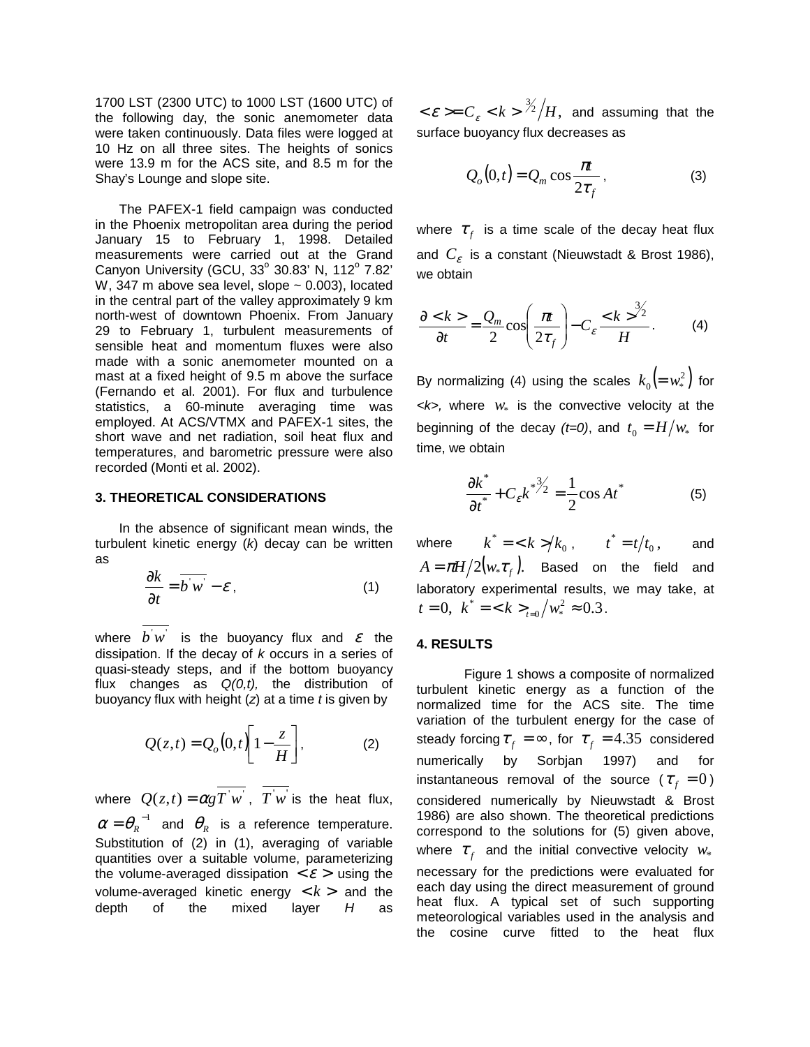1700 LST (2300 UTC) to 1000 LST (1600 UTC) of the following day, the sonic anemometer data were taken continuously. Data files were logged at 10 Hz on all three sites. The heights of sonics were 13.9 m for the ACS site, and 8.5 m for the Shay's Lounge and slope site.

The PAFEX-1 field campaign was conducted in the Phoenix metropolitan area during the period January 15 to February 1, 1998. Detailed measurements were carried out at the Grand Canyon University (GCU,  $33^{\circ}$  30.83' N, 112 $^{\circ}$  7.82' W, 347 m above sea level, slope  $\sim$  0.003), located in the central part of the valley approximately 9 km north-west of downtown Phoenix. From January 29 to February 1, turbulent measurements of sensible heat and momentum fluxes were also made with a sonic anemometer mounted on a mast at a fixed height of 9.5 m above the surface (Fernando et al. 2001). For flux and turbulence statistics, a 60-minute averaging time was employed. At ACS/VTMX and PAFEX-1 sites, the short wave and net radiation, soil heat flux and temperatures, and barometric pressure were also recorded (Monti et al. 2002).

#### **3. THEORETICAL CONSIDERATIONS**

In the absence of significant mean winds, the turbulent kinetic energy (*k*) decay can be written as

$$
\frac{\partial k}{\partial t} = \overline{b'w'} - \varepsilon \,, \tag{1}
$$

where  $b'w'$  is the buoyancy flux and  $\varepsilon$  the dissipation. If the decay of *k* occurs in a series of quasi-steady steps, and if the bottom buoyancy flux changes as *Q(0,t),* the distribution of buoyancy flux with height (*z*) at a time *t* is given by

$$
Q(z,t) = Q_o(0,t) \left[ 1 - \frac{z}{H} \right],
$$
 (2)

where  $Q(z,t) = \alpha g \overline{T} w$ ,  $\overline{T} w$  is the heat flux,  $\alpha = \theta_R^{-1}$  and  $\theta_R$  is a reference temperature. Substitution of (2) in (1), averaging of variable quantities over a suitable volume, parameterizing the volume-averaged dissipation  $\langle \mathcal{E} \rangle$  using the volume-averaged kinetic energy  $\langle k \rangle$  and the depth of the mixed layer *H* as

 $<\!\varepsilon\!>=\!C_{\varepsilon}<\!k>\frac{\frac{3}{2}}{H},\,$  and assuming that the surface buoyancy flux decreases as

$$
Q_o(0,t) = Q_m \cos \frac{\pi t}{2\tau_f}, \qquad (3)
$$

where  $\tau_f$  is a time scale of the decay heat flux and  $C_{\varepsilon}$  is a constant (Nieuwstadt & Brost 1986), we obtain

$$
\frac{\partial < k}{\partial t} = \frac{Q_m}{2} \cos \left( \frac{\pi t}{2\tau_f} \right) - C_{\varepsilon} \frac{d \kappa}{dt}.
$$
 (4)

By normalizing (4) using the scales  $k_0 (= w_*^2)$  for  $\langle k \rangle$ , where  $w_*$  is the convective velocity at the beginning of the decay  $(t=0)$ , and  $t_0 = H/w_*$  for time, we obtain

$$
\frac{\partial k^*}{\partial t^*} + C_{\varepsilon} k^{*3/2} = \frac{1}{2} \cos At^*
$$
 (5)

where  $k^* = \frac{k}{k} > k_0$ ,  $t^* = \frac{t}{t_0}$ , and  $A = \pi H/2(w_* \tau_f)$ . Based on the field and laboratory experimental results, we may take, at  $t = 0, \ \ k^* = \langle k \rangle_{t=0} / w_*^2 \approx 0.3.$ 

### **4. RESULTS**

 Figure 1 shows a composite of normalized turbulent kinetic energy as a function of the normalized time for the ACS site. The time variation of the turbulent energy for the case of steady forcing  $\tau_f = \infty$ , for  $\tau_f = 4.35$  considered numerically by Sorbjan 1997) and for instantaneous removal of the source ( $\tau_f = 0$ ) considered numerically by Nieuwstadt & Brost 1986) are also shown. The theoretical predictions correspond to the solutions for (5) given above, where  $\tau_f$  and the initial convective velocity  $w_*$ necessary for the predictions were evaluated for each day using the direct measurement of ground heat flux. A typical set of such supporting meteorological variables used in the analysis and the cosine curve fitted to the heat flux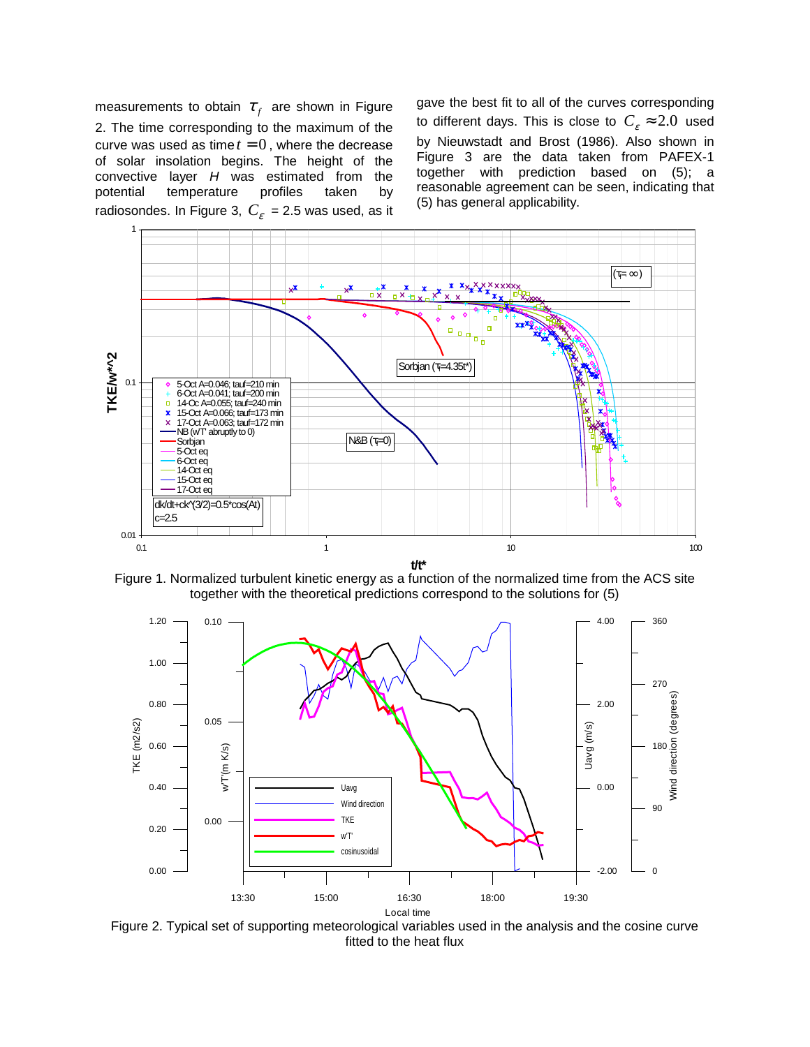measurements to obtain  $\tau_f$  are shown in Figure 2. The time corresponding to the maximum of the curve was used as time  $t = 0$ , where the decrease of solar insolation begins. The height of the convective layer *H* was estimated from the potential temperature profiles taken by radiosondes. In Figure 3,  $C_{\epsilon}$  = 2.5 was used, as it gave the best fit to all of the curves corresponding to different days. This is close to  $C_{\varepsilon} \approx 2.0$  used by Nieuwstadt and Brost (1986). Also shown in Figure 3 are the data taken from PAFEX-1 together with prediction based on (5); a reasonable agreement can be seen, indicating that (5) has general applicability.



Figure 1. Normalized turbulent kinetic energy as a function of the normalized time from the ACS site together with the theoretical predictions correspond to the solutions for (5)



Figure 2. Typical set of supporting meteorological variables used in the analysis and the cosine curve fitted to the heat flux